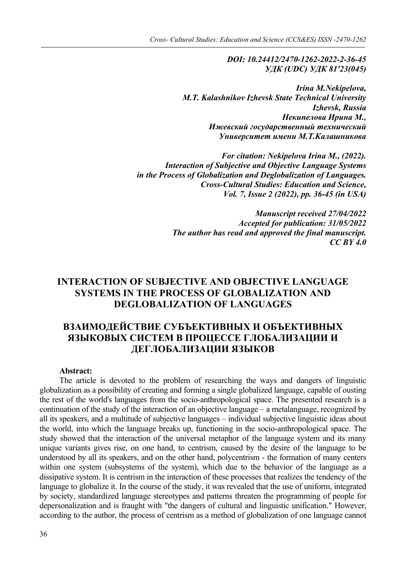*DOI: 10.24412/2470-1262-2022-2-36-45 УДК (UDC) УДК 81′23(045)*

*Irina M.Nekipelova, M.T. Kalashnikov Izhevsk State Technical University Izhevsk, Russia Некипелова Ирина М., Ижевский государственный технический Университет имени М.Т.Калашникова*

*For citation: Nekipelova Irina M., (2022). Interaction of Subjective and Objective Language Systems in the Process of Globalization and Deglobalization of Languages. Cross-Cultural Studies: Education and Science, Vol. 7, Issue 2 (2022), pp. 36-45 (in USA)*

> *Manuscript received 27/04/2022 Accepted for publication: 31/05/2022 The author has read and approved the final manuscript. CC BY 4.0*

## **INTERACTION OF SUBJECTIVE AND OBJECTIVE LANGUAGE SYSTEMS IN THE PROCESS OF GLOBALIZATION AND DEGLOBALIZATION OF LANGUAGES**

# **ВЗАИМОДЕЙСТВИЕ СУБЪЕКТИВНЫХ И ОБЪЕКТИВНЫХ ЯЗЫКОВЫХ СИСТЕМ В ПРОЦЕССЕ ГЛОБАЛИЗАЦИИ И ДЕГЛОБАЛИЗАЦИИ ЯЗЫКОВ**

#### **Abstract:**

The article is devoted to the problem of researching the ways and dangers of linguistic globalization as a possibility of creating and forming a single globalized language, capable of ousting the rest of the world's languages from the socio-anthropological space. The presented research is a continuation of the study of the interaction of an objective language – a metalanguage, recognized by all its speakers, and a multitude of subjective languages – individual subjective linguistic ideas about the world, into which the language breaks up, functioning in the socio-anthropological space. The study showed that the interaction of the universal metaphor of the language system and its many unique variants gives rise, on one hand, to centrism, caused by the desire of the language to be understood by all its speakers, and on the other hand, polycentrism - the formation of many centers within one system (subsystems of the system), which due to the behavior of the language as a dissipative system. It is centrism in the interaction of these processes that realizes the tendency of the language to globalize it. In the course of the study, it was revealed that the use of uniform, integrated by society, standardized language stereotypes and patterns threaten the programming of people for depersonalization and is fraught with "the dangers of cultural and linguistic unification." However, according to the author, the process of centrism as a method of globalization of one language cannot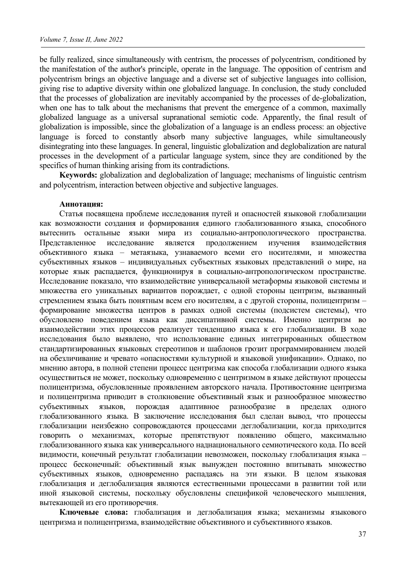be fully realized, since simultaneously with centrism, the processes of polycentrism, conditioned by the manifestation of the author's principle, operate in the language. The opposition of centrism and polycentrism brings an objective language and a diverse set of subjective languages into collision, giving rise to adaptive diversity within one globalized language. In conclusion, the study concluded that the processes of globalization are inevitably accompanied by the processes of de-globalization, when one has to talk about the mechanisms that prevent the emergence of a common, maximally globalized language as a universal supranational semiotic code. Apparently, the final result of globalization is impossible, since the globalization of a language is an endless process: an objective language is forced to constantly absorb many subjective languages, while simultaneously disintegrating into these languages. In general, linguistic globalization and deglobalization are natural processes in the development of a particular language system, since they are conditioned by the specifics of human thinking arising from its contradictions.

**Keywords:** globalization and deglobalization of language; mechanisms of linguistic centrism and polycentrism, interaction between objective and subjective languages.

#### **Аннотация:**

Статья посвящена проблеме исследования путей и опасностей языковой глобализации как возможности создания и формирования единого глобализованного языка, способного вытеснить остальные языки мира из социально-антропологического пространства. Представленное исследование является продолжением изучения взаимодействия объективного языка – метаязыка, узнаваемого всеми его носителями, и множества субъективных языков – индивидуальных субъектных языковых представлений о мире, на которые язык распадается, функционируя в социально-антропологическом пространстве. Исследование показало, что взаимодействие универсальной метаформы языковой системы и множества его уникальных вариантов порождает, с одной стороны центризм, вызванный стремлением языка быть понятным всем его носителям, а с другой стороны, полицентризм – формирование множества центров в рамках одной системы (подсистем системы), что обусловлено поведением языка как диссипативной системы. Именно центризм во взаимодействии этих процессов реализует тенденцию языка к его глобализации. В ходе исследования было выявлено, что использование единых интегрированных обществом стандартизированных языковых стереотипов и шаблонов грозит программированием людей на обезличивание и чревато «опасностями культурной и языковой унификации». Однако, по мнению автора, в полной степени процесс центризма как способа глобализации одного языка осуществиться не может, поскольку одновременно с центризмом в языке действуют процессы полицентризма, обусловленные проявлением авторского начала. Противостояние центризма и полицентризма приводит в столкновение объективный язык и разнообразное множество субъективных языков, порождая адаптивное разнообразие в пределах одного глобализованного языка. В заключение исследования был сделан вывод, что процессы глобализации неизбежно сопровождаются процессами деглобализации, когда приходится говорить о механизмах, которые препятствуют появлению общего, максимально глобализованного языка как универсального наднационального семиотического кода. По всей видимости, конечный результат глобализации невозможен, поскольку глобализация языка – процесс бесконечный: объективный язык вынужден постоянно впитывать множество субъективных языков, одновременно распадаясь на эти языки. В целом языковая глобализация и деглобализация являются естественными процессами в развитии той или иной языковой системы, поскольку обусловлены спецификой человеческого мышления, вытекающей из его противоречия.

**Ключевые слова:** глобализация и деглобализация языка; механизмы языкового центризма и полицентризма, взаимодействие объективного и субъективного языков.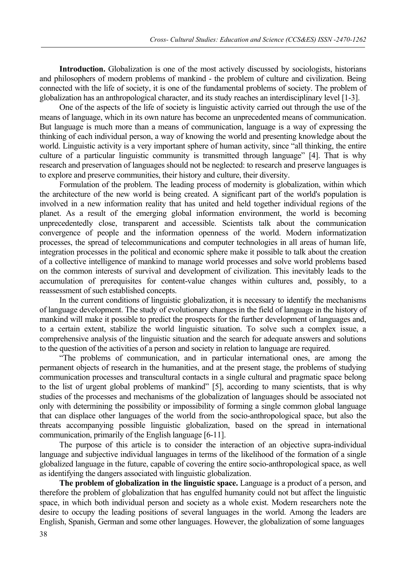**Introduction.** Globalization is one of the most actively discussed by sociologists, historians and philosophers of modern problems of mankind - the problem of culture and civilization. Being connected with the life of society, it is one of the fundamental problems of society. The problem of globalization has an anthropological character, and its study reaches an interdisciplinary level [1-3].

One of the aspects of the life of society is linguistic activity carried out through the use of the means of language, which in its own nature has become an unprecedented means of communication. But language is much more than a means of communication, language is a way of expressing the thinking of each individual person, a way of knowing the world and presenting knowledge about the world. Linguistic activity is a very important sphere of human activity, since "all thinking, the entire culture of a particular linguistic community is transmitted through language" [4]. That is why research and preservation of languages should not be neglected: to research and preserve languages is to explore and preserve communities, their history and culture, their diversity.

Formulation of the problem. The leading process of modernity is globalization, within which the architecture of the new world is being created. A significant part of the world's population is involved in a new information reality that has united and held together individual regions of the planet. As a result of the emerging global information environment, the world is becoming unprecedentedly close, transparent and accessible. Scientists talk about the communication convergence of people and the information openness of the world. Modern informatization processes, the spread of telecommunications and computer technologies in all areas of human life, integration processes in the political and economic sphere make it possible to talk about the creation of a collective intelligence of mankind to manage world processes and solve world problems based on the common interests of survival and development of civilization. This inevitably leads to the accumulation of prerequisites for content-value changes within cultures and, possibly, to a reassessment of such established concepts.

In the current conditions of linguistic globalization, it is necessary to identify the mechanisms of language development. The study of evolutionary changes in the field of language in the history of mankind will make it possible to predict the prospects for the further development of languages and, to a certain extent, stabilize the world linguistic situation. To solve such a complex issue, a comprehensive analysis of the linguistic situation and the search for adequate answers and solutions to the question of the activities of a person and society in relation to language are required.

"The problems of communication, and in particular international ones, are among the permanent objects of research in the humanities, and at the present stage, the problems of studying communication processes and transcultural contacts in a single cultural and pragmatic space belong to the list of urgent global problems of mankind" [5], according to many scientists, that is why studies of the processes and mechanisms of the globalization of languages should be associated not only with determining the possibility or impossibility of forming a single common global language that can displace other languages of the world from the socio-anthropological space, but also the threats accompanying possible linguistic globalization, based on the spread in international communication, primarily of the English language [6-11].

The purpose of this article is to consider the interaction of an objective supra-individual language and subjective individual languages in terms of the likelihood of the formation of a single globalized language in the future, capable of covering the entire socio-anthropological space, as well as identifying the dangers associated with linguistic globalization.

**The problem of globalization in the linguistic space.** Language is a product of a person, and therefore the problem of globalization that has engulfed humanity could not but affect the linguistic space, in which both individual person and society as a whole exist. Modern researchers note the desire to occupy the leading positions of several languages in the world. Among the leaders are English, Spanish, German and some other languages. However, the globalization of some languages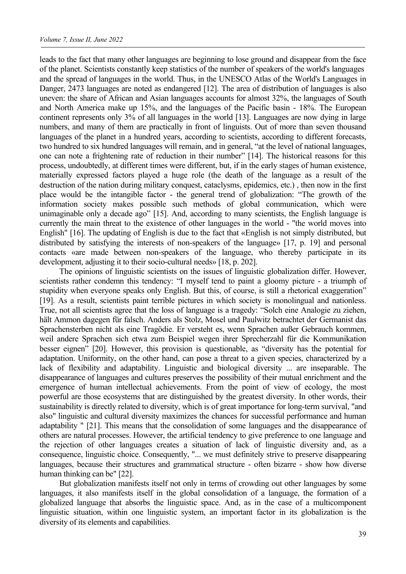leads to the fact that many other languages are beginning to lose ground and disappear from the face of the planet. Scientists constantly keep statistics of the number of speakers of the world's languages and the spread of languages in the world. Thus, in the UNESCO Atlas of the World's Languages in Danger, 2473 languages are noted as endangered [12]. The area of distribution of languages is also uneven: the share of African and Asian languages accounts for almost 32%, the languages of South and North America make up 15%, and the languages of the Pacific basin - 18%. The European continent represents only 3% of all languages in the world [13]. Languages are now dying in large numbers, and many of them are practically in front of linguists. Out of more than seven thousand languages of the planet in a hundred years, according to scientists, according to different forecasts, two hundred to six hundred languages will remain, and in general, "at the level of national languages, one can note a frightening rate of reduction in their number" [14]. The historical reasons for this process, undoubtedly, at different times were different, but, if in the early stages of human existence, materially expressed factors played a huge role (the death of the language as a result of the destruction of the nation during military conquest, cataclysms, epidemics, etc.) , then now in the first place would be the intangible factor - the general trend of globalization: "The growth of the information society makes possible such methods of global communication, which were unimaginable only a decade ago" [15]. And, according to many scientists, the English language is currently the main threat to the existence of other languages in the world - "the world moves into English" [16]. The updating of English is due to the fact that «English is not simply distributed, but distributed by satisfying the interests of non-speakers of the language» [17, р. 19] and personal contacts «are made between non-speakers of the language, who thereby participate in its development, adjusting it to their socio-cultural needs» [18, р. 202].

The opinions of linguistic scientists on the issues of linguistic globalization differ. However, scientists rather condemn this tendency: "I myself tend to paint a gloomy picture - a triumph of stupidity when everyone speaks only English. But this, of course, is still a rhetorical exaggeration" [19]. As a result, scientists paint terrible pictures in which society is monolingual and nationless. True, not all scientists agree that the loss of language is a tragedy: "Solch eine Analogie zu ziehen, hält Ammon dagegen für falsch. Anders als Stolz, Mosel und Paulwitz betrachtet der Germanist das Sprachensterben nicht als eine Tragödie. Er versteht es, wenn Sprachen außer Gebrauch kommen, weil andere Sprachen sich etwa zum Beispiel wegen ihrer Sprecherzahl für die Kommunikation besser eignen" [20]. However, this provision is questionable, as "diversity has the potential for adaptation. Uniformity, on the other hand, can pose a threat to a given species, characterized by a lack of flexibility and adaptability. Linguistic and biological diversity ... are inseparable. The disappearance of languages and cultures preserves the possibility of their mutual enrichment and the emergence of human intellectual achievements. From the point of view of ecology, the most powerful are those ecosystems that are distinguished by the greatest diversity. In other words, their sustainability is directly related to diversity, which is of great importance for long-term survival, "and also" linguistic and cultural diversity maximizes the chances for successful performance and human adaptability " [21]. This means that the consolidation of some languages and the disappearance of others are natural processes. However, the artificial tendency to give preference to one language and the rejection of other languages creates a situation of lack of linguistic diversity and, as a consequence, linguistic choice. Consequently, "... we must definitely strive to preserve disappearing languages, because their structures and grammatical structure - often bizarre - show how diverse human thinking can be" [22].

But globalization manifests itself not only in terms of crowding out other languages by some languages, it also manifests itself in the global consolidation of a language, the formation of a globalized language that absorbs the linguistic space. And, as in the case of a multicomponent linguistic situation, within one linguistic system, an important factor in its globalization is the diversity of its elements and capabilities.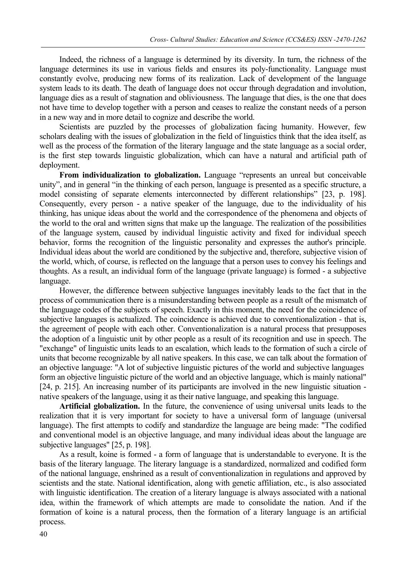Indeed, the richness of a language is determined by its diversity. In turn, the richness of the language determines its use in various fields and ensures its poly-functionality. Language must constantly evolve, producing new forms of its realization. Lack of development of the language system leads to its death. The death of language does not occur through degradation and involution, language dies as a result of stagnation and obliviousness. The language that dies, is the one that does not have time to develop together with a person and ceases to realize the constant needs of a person in a new way and in more detail to cognize and describe the world.

Scientists are puzzled by the processes of globalization facing humanity. However, few scholars dealing with the issues of globalization in the field of linguistics think that the idea itself, as well as the process of the formation of the literary language and the state language as a social order, is the first step towards linguistic globalization, which can have a natural and artificial path of deployment.

**From individualization to globalization.** Language "represents an unreal but conceivable unity", and in general "in the thinking of each person, language is presented as a specific structure, a model consisting of separate elements interconnected by different relationships" [23, p. 198]. Consequently, every person - a native speaker of the language, due to the individuality of his thinking, has unique ideas about the world and the correspondence of the phenomena and objects of the world to the oral and written signs that make up the language. The realization of the possibilities of the language system, caused by individual linguistic activity and fixed for individual speech behavior, forms the recognition of the linguistic personality and expresses the author's principle. Individual ideas about the world are conditioned by the subjective and, therefore, subjective vision of the world, which, of course, is reflected on the language that a person uses to convey his feelings and thoughts. As a result, an individual form of the language (private language) is formed - a subjective language.

However, the difference between subjective languages inevitably leads to the fact that in the process of communication there is a misunderstanding between people as a result of the mismatch of the language codes of the subjects of speech. Exactly in this moment, the need for the coincidence of subjective languages is actualized. The coincidence is achieved due to conventionalization - that is, the agreement of people with each other. Conventionalization is a natural process that presupposes the adoption of a linguistic unit by other people as a result of its recognition and use in speech. The "exchange" of linguistic units leads to an escalation, which leads to the formation of such a circle of units that become recognizable by all native speakers. In this case, we can talk about the formation of an objective language: "A lot of subjective linguistic pictures of the world and subjective languages form an objective linguistic picture of the world and an objective language, which is mainly national" [24, p. 215]. An increasing number of its participants are involved in the new linguistic situation native speakers of the language, using it as their native language, and speaking this language.

**Artificial globalization.** In the future, the convenience of using universal units leads to the realization that it is very important for society to have a universal form of language (universal language). The first attempts to codify and standardize the language are being made: "The codified and conventional model is an objective language, and many individual ideas about the language are subjective languages" [25, p. 198].

As a result, koine is formed - a form of language that is understandable to everyone. It is the basis of the literary language. The literary language is a standardized, normalized and codified form of the national language, enshrined as a result of conventionalization in regulations and approved by scientists and the state. National identification, along with genetic affiliation, etc., is also associated with linguistic identification. The creation of a literary language is always associated with a national idea, within the framework of which attempts are made to consolidate the nation. And if the formation of koine is a natural process, then the formation of a literary language is an artificial process.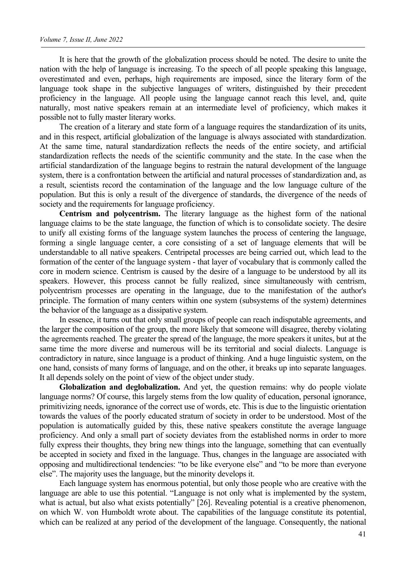It is here that the growth of the globalization process should be noted. The desire to unite the nation with the help of language is increasing. To the speech of all people speaking this language, overestimated and even, perhaps, high requirements are imposed, since the literary form of the language took shape in the subjective languages of writers, distinguished by their precedent proficiency in the language. All people using the language cannot reach this level, and, quite naturally, most native speakers remain at an intermediate level of proficiency, which makes it possible not to fully master literary works.

The creation of a literary and state form of a language requires the standardization of its units, and in this respect, artificial globalization of the language is always associated with standardization. At the same time, natural standardization reflects the needs of the entire society, and artificial standardization reflects the needs of the scientific community and the state. In the case when the artificial standardization of the language begins to restrain the natural development of the language system, there is a confrontation between the artificial and natural processes of standardization and, as a result, scientists record the contamination of the language and the low language culture of the population. But this is only a result of the divergence of standards, the divergence of the needs of society and the requirements for language proficiency.

**Centrism and polycentrism.** The literary language as the highest form of the national language claims to be the state language, the function of which is to consolidate society. The desire to unify all existing forms of the language system launches the process of centering the language, forming a single language center, a core consisting of a set of language elements that will be understandable to all native speakers. Centripetal processes are being carried out, which lead to the formation of the center of the language system - that layer of vocabulary that is commonly called the core in modern science. Centrism is caused by the desire of a language to be understood by all its speakers. However, this process cannot be fully realized, since simultaneously with centrism, polycentrism processes are operating in the language, due to the manifestation of the author's principle. The formation of many centers within one system (subsystems of the system) determines the behavior of the language as a dissipative system.

In essence, it turns out that only small groups of people can reach indisputable agreements, and the larger the composition of the group, the more likely that someone will disagree, thereby violating the agreements reached. The greater the spread of the language, the more speakers it unites, but at the same time the more diverse and numerous will be its territorial and social dialects. Language is contradictory in nature, since language is a product of thinking. And a huge linguistic system, on the one hand, consists of many forms of language, and on the other, it breaks up into separate languages. It all depends solely on the point of view of the object under study.

**Globalization and deglobalization.** And yet, the question remains: why do people violate language norms? Of course, this largely stems from the low quality of education, personal ignorance, primitivizing needs, ignorance of the correct use of words, etc. This is due to the linguistic orientation towards the values of the poorly educated stratum of society in order to be understood. Most of the population is automatically guided by this, these native speakers constitute the average language proficiency. And only a small part of society deviates from the established norms in order to more fully express their thoughts, they bring new things into the language, something that can eventually be accepted in society and fixed in the language. Thus, changes in the language are associated with opposing and multidirectional tendencies: "to be like everyone else" and "to be more than everyone else". The majority uses the language, but the minority develops it.

Each language system has enormous potential, but only those people who are creative with the language are able to use this potential. "Language is not only what is implemented by the system, what is actual, but also what exists potentially" [26]. Revealing potential is a creative phenomenon, on which W. von Humboldt wrote about. The capabilities of the language constitute its potential, which can be realized at any period of the development of the language. Consequently, the national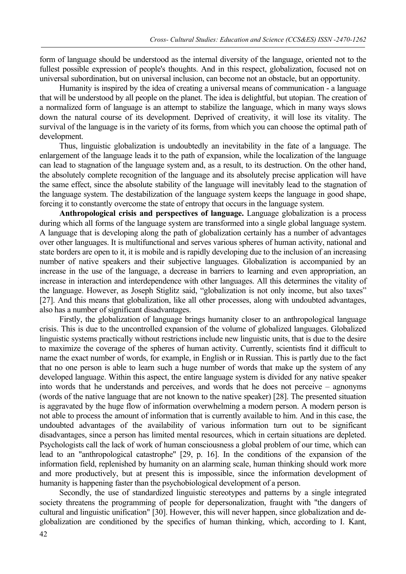form of language should be understood as the internal diversity of the language, oriented not to the fullest possible expression of people's thoughts. And in this respect, globalization, focused not on universal subordination, but on universal inclusion, can become not an obstacle, but an opportunity.

Humanity is inspired by the idea of creating a universal means of communication - a language that will be understood by all people on the planet. The idea is delightful, but utopian. The creation of a normalized form of language is an attempt to stabilize the language, which in many ways slows down the natural course of its development. Deprived of creativity, it will lose its vitality. The survival of the language is in the variety of its forms, from which you can choose the optimal path of development.

Thus, linguistic globalization is undoubtedly an inevitability in the fate of a language. The enlargement of the language leads it to the path of expansion, while the localization of the language can lead to stagnation of the language system and, as a result, to its destruction. On the other hand, the absolutely complete recognition of the language and its absolutely precise application will have the same effect, since the absolute stability of the language will inevitably lead to the stagnation of the language system. The destabilization of the language system keeps the language in good shape, forcing it to constantly overcome the state of entropy that occurs in the language system.

**Anthropological crisis and perspectives of language.** Language globalization is a process during which all forms of the language system are transformed into a single global language system. A language that is developing along the path of globalization certainly has a number of advantages over other languages. It is multifunctional and serves various spheres of human activity, national and state borders are open to it, it is mobile and is rapidly developing due to the inclusion of an increasing number of native speakers and their subjective languages. Globalization is accompanied by an increase in the use of the language, a decrease in barriers to learning and even appropriation, an increase in interaction and interdependence with other languages. All this determines the vitality of the language. However, as Joseph Stiglitz said, "globalization is not only income, but also taxes" [27]. And this means that globalization, like all other processes, along with undoubted advantages, also has a number of significant disadvantages.

Firstly, the globalization of language brings humanity closer to an anthropological language crisis. This is due to the uncontrolled expansion of the volume of globalized languages. Globalized linguistic systems practically without restrictions include new linguistic units, that is due to the desire to maximize the coverage of the spheres of human activity. Currently, scientists find it difficult to name the exact number of words, for example, in English or in Russian. This is partly due to the fact that no one person is able to learn such a huge number of words that make up the system of any developed language. Within this aspect, the entire language system is divided for any native speaker into words that he understands and perceives, and words that he does not perceive – agnonyms (words of the native language that are not known to the native speaker) [28]. The presented situation is aggravated by the huge flow of information overwhelming a modern person. A modern person is not able to process the amount of information that is currently available to him. And in this case, the undoubted advantages of the availability of various information turn out to be significant disadvantages, since a person has limited mental resources, which in certain situations are depleted. Psychologists call the lack of work of human consciousness a global problem of our time, which can lead to an "anthropological catastrophe" [29, p. 16]. In the conditions of the expansion of the information field, replenished by humanity on an alarming scale, human thinking should work more and more productively, but at present this is impossible, since the information development of humanity is happening faster than the psychobiological development of a person.

Secondly, the use of standardized linguistic stereotypes and patterns by a single integrated society threatens the programming of people for depersonalization, fraught with "the dangers of cultural and linguistic unification" [30]. However, this will never happen, since globalization and deglobalization are conditioned by the specifics of human thinking, which, according to I. Kant,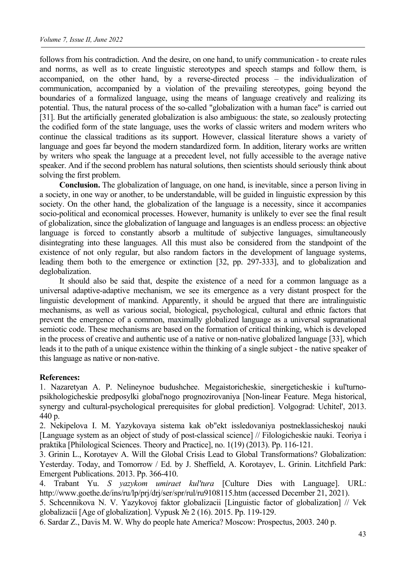follows from his contradiction. And the desire, on one hand, to unify communication - to create rules and norms, as well as to create linguistic stereotypes and speech stamps and follow them, is accompanied, on the other hand, by a reverse-directed process – the individualization of communication, accompanied by a violation of the prevailing stereotypes, going beyond the boundaries of a formalized language, using the means of language creatively and realizing its potential. Thus, the natural process of the so-called "globalization with a human face" is carried out [31]. But the artificially generated globalization is also ambiguous: the state, so zealously protecting the codified form of the state language, uses the works of classic writers and modern writers who continue the classical traditions as its support. However, classical literature shows a variety of language and goes far beyond the modern standardized form. In addition, literary works are written by writers who speak the language at a precedent level, not fully accessible to the average native speaker. And if the second problem has natural solutions, then scientists should seriously think about solving the first problem.

**Conclusion.** The globalization of language, on one hand, is inevitable, since a person living in a society, in one way or another, to be understandable, will be guided in linguistic expression by this society. On the other hand, the globalization of the language is a necessity, since it accompanies socio-political and economical processes. However, humanity is unlikely to ever see the final result of globalization, since the globalization of language and languages is an endless process: an objective language is forced to constantly absorb a multitude of subjective languages, simultaneously disintegrating into these languages. All this must also be considered from the standpoint of the existence of not only regular, but also random factors in the development of language systems, leading them both to the emergence or extinction [32, pp. 297-333], and to globalization and deglobalization.

It should also be said that, despite the existence of a need for a common language as a universal adaptive-adaptive mechanism, we see its emergence as a very distant prospect for the linguistic development of mankind. Apparently, it should be argued that there are intralinguistic mechanisms, as well as various social, biological, psychological, cultural and ethnic factors that prevent the emergence of a common, maximally globalized language as a universal supranational semiotic code. These mechanisms are based on the formation of critical thinking, which is developed in the process of creative and authentic use of a native or non-native globalized language [33], which leads it to the path of a unique existence within the thinking of a single subject - the native speaker of this language as native or non-native.

## **References:**

1. Nazaretyan A. P. Nelineynoe budushchee. Megaistoricheskie, sinergeticheskie i kul'turnopsikhologicheskie predposylki global'nogo prognozirovaniya [Non-linear Feature. Mega historical, synergy and cultural-psychological prerequisites for global prediction]. Volgograd: Uchitel', 2013. 440 p.

2. Nekipelova I. M. Yazykovaya sistema kak ob"ekt issledovaniya postneklassicheskoj nauki [Language system as an object of study of post-classical science] // Filologicheskie nauki. Teoriya i praktika [Philological Sciences. Theory and Practice], no. 1(19) (2013). Pp. 116-121.

3. Grinin L., Korotayev A. Will the Global Crisis Lead to Global Transformations? Globalization: Yesterday. Today, and Tomorrow / Ed. by J. Sheffield, A. Korotayev, L. Grinin. Litchfield Park: Emergent Publications. 2013. Pp. 366-410.

4. Trabant Yu. *S yazykom umiraet kul'tura* [Culture Dies with Language]. URL: http://www.goethe.de/ins/ru/lp/prj/drj/ser/spr/rul/ru9108115.htm (accessed December 21, 2021).

5. Schcennikova N. V. Yazykovoj faktor globalizacii [Linguistic factor of globalization] // Vek globalizacii [Age of globalization]. Vypusk № 2 (16). 2015. Pp. 119-129.

6. Sardar Z., Davis M. W. Why do people hate America? Moscow: Prospectus, 2003. 240 p.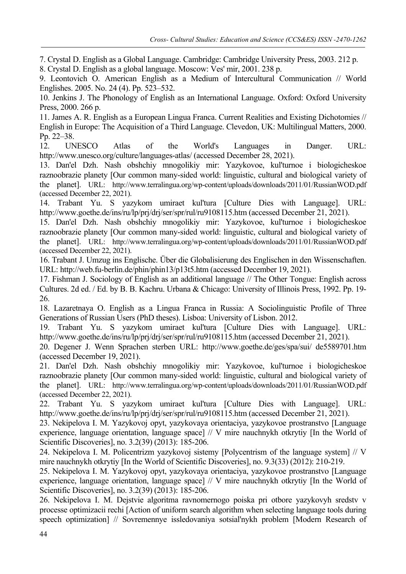7. Crystal D. English as a Global Language. Cambridge: Cambridge University Press, 2003. 212 р. 8. Crystal D. English as a global language. Moscow: Ves' mir, 2001. 238 p.

9. Leontovich O. American English as a Medium of Intercultural Communication // World Englishes. 2005. No. 24 (4). Pp. 523–532.

10. Jenkins J. The Phonology of English as an International Language. Oxford: Oxford University Press, 2000. 266 р.

11. James A. R. English as a European Lingua Franca. Current Realities and Existing Dichotomies // English in Europe: The Acquisition of a Third Language. Clevedon, UK: Multilingual Matters, 2000. Pp. 22–38.

12. UNESCO Atlas of the World's Languages in Danger. URL: http://www.unesco.org/culture/languages-atlas/ (accessed December 28, 2021).

13. Dan'el Dzh. Nash obshchiy mnogolikiy mir: Yazykovoe, kul'turnoe i biologicheskoe raznoobrazie planety [Our common many-sided world: linguistic, cultural and biological variety of the planet]. URL: http://www.terralingua.org/wp-content/uploads/downloads/2011/01/RussianWOD.pdf (accessed December 22, 2021).

14. Trabant Yu. S yazykom umiraet kul'tura [Culture Dies with Language]. URL: http://www.goethe.de/ins/ru/lp/prj/drj/ser/spr/rul/ru9108115.htm (accessed December 21, 2021).

15. Dan'el Dzh. Nash obshchiy mnogolikiy mir: Yazykovoe, kul'turnoe i biologicheskoe raznoobrazie planety [Our common many-sided world: linguistic, cultural and biological variety of the planet]. URL: http://www.terralingua.org/wp-content/uploads/downloads/2011/01/RussianWOD.pdf (accessed December 22, 2021).

16. Trabant J. Umzug ins Englische. Über die Globalisierung des Englischen in den Wissenschaften. URL: http://web.fu-berlin.de/phin/phin13/p13t5.htm (accessed December 19, 2021).

17. Fishman J. Sociology of English as an additional language // The Other Tongue: English across Cultures. 2d ed. / Ed. by B. B. Kachru. Urbana & Chicago: University of Illinois Press, 1992. Pр. 19- 26.

18. Lazaretnaya O. English as a Lingua Franca in Russia: A Sociolinguistic Profile of Three Generations of Russian Users (PhD thesеs). Lisboa: University of Lisbon. 2012.

19. Trabant Yu. S yazykom umiraet kul'tura [Culture Dies with Language]. URL: http://www.goethe.de/ins/ru/lp/prj/drj/ser/spr/rul/ru9108115.htm (accessed December 21, 2021).

20. Degener J. Wenn Sprachen sterben URL: http://www.goethe.de/ges/spa/sui/ de5589701.htm (accessed December 19, 2021).

21. Dan'el Dzh. Nash obshchiy mnogolikiy mir: Yazykovoe, kul'turnoe i biologicheskoe raznoobrazie planety [Our common many-sided world: linguistic, cultural and biological variety of the planet]. URL: http://www.terralingua.org/wp-content/uploads/downloads/2011/01/RussianWOD.pdf (accessed December 22, 2021).

22. Trabant Yu. S yazykom umiraet kul'tura [Culture Dies with Language]. URL: http://www.goethe.de/ins/ru/lp/prj/drj/ser/spr/rul/ru9108115.htm (accessed December 21, 2021).

23. Nekipelova I. M. Yazykovoj opyt, yazykovaya orientaciya, yazykovoe prostranstvo [Language experience, language orientation, language space] // V mire nauchnykh otkrytiy [In the World of Scientific Discoveries], no. 3.2(39) (2013): 185-206.

24. Nekipelova I. M. Policentrizm yazykovoj sistemy [Polycentrism of the language system] // V mire nauchnykh otkrytiy [In the World of Scientific Discoveries], no. 9.3(33) (2012): 210-219.

25. Nekipelova I. M. Yazykovoj opyt, yazykovaya orientaciya, yazykovoe prostranstvo [Language experience, language orientation, language space] // V mire nauchnykh otkrytiy [In the World of Scientific Discoveries], no. 3.2(39) (2013): 185-206.

26. Nekipelova I. M. Dejstvie algoritma ravnomernogo poiska pri otbore yazykovyh sredstv v processe optimizacii rechi [Action of uniform search algorithm when selecting language tools during speech optimization] // Sovremennye issledovaniya sotsial'nykh problem [Modern Research of